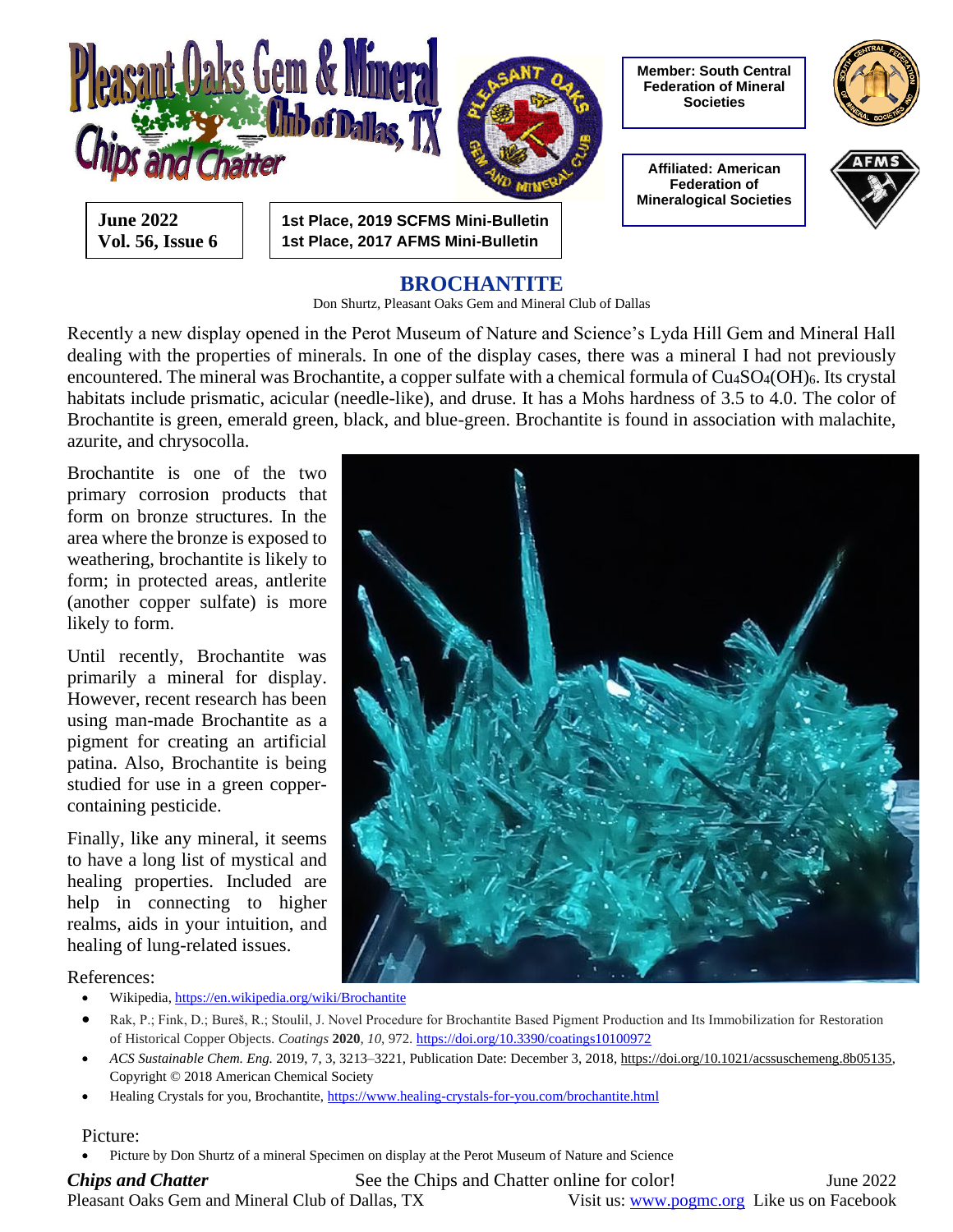

### **BROCHANTITE**

Don Shurtz, Pleasant Oaks Gem and Mineral Club of Dallas

Recently a new display opened in the Perot Museum of Nature and Science's Lyda Hill Gem and Mineral Hall dealing with the properties of minerals. In one of the display cases, there was a mineral I had not previously encountered. The mineral was Brochantite, a copper sulfate with a chemical formula of Cu<sub>4</sub>SO<sub>4</sub>(OH)<sub>6</sub>. Its crystal habitats include prismatic, acicular (needle-like), and druse. It has a Mohs hardness of 3.5 to 4.0. The color of Brochantite is green, emerald green, black, and blue-green. Brochantite is found in association with malachite, azurite, and chrysocolla.

Brochantite is one of the two primary corrosion products that form on bronze structures. In the area where the bronze is exposed to weathering, brochantite is likely to form; in protected areas, antlerite (another copper sulfate) is more likely to form.

Until recently, Brochantite was primarily a mineral for display. However, recent research has been using man-made Brochantite as a pigment for creating an artificial patina. Also, Brochantite is being studied for use in a green coppercontaining pesticide.

Finally, like any mineral, it seems to have a long list of mystical and healing properties. Included are help in connecting to higher realms, aids in your intuition, and healing of lung-related issues.



References:

- Wikipedia[, https://en.wikipedia.org/wiki/Brochantite](https://en.wikipedia.org/wiki/Brochantite)
- Rak, P.; Fink, D.; Bureš, R.; Stoulil, J. Novel Procedure for Brochantite Based Pigment Production and Its Immobilization for Restoration of Historical Copper Objects. *Coatings* **2020**, *10*, 972[. https://doi.org/10.3390/coatings10100972](https://doi.org/10.3390/coatings10100972)
- *ACS Sustainable Chem. Eng.* 2019, 7, 3, 3213–3221, Publication Date: December 3, 2018, [https://doi.org/10.1021/acssuschemeng.8b05135,](https://doi.org/10.1021/acssuschemeng.8b05135) Copyright © 2018 American Chemical Society
- Healing Crystals for you, Brochantite[, https://www.healing-crystals-for-you.com/brochantite.html](https://www.healing-crystals-for-you.com/brochantite.html)

#### Picture:

• Picture by Don Shurtz of a mineral Specimen on display at the Perot Museum of Nature and Science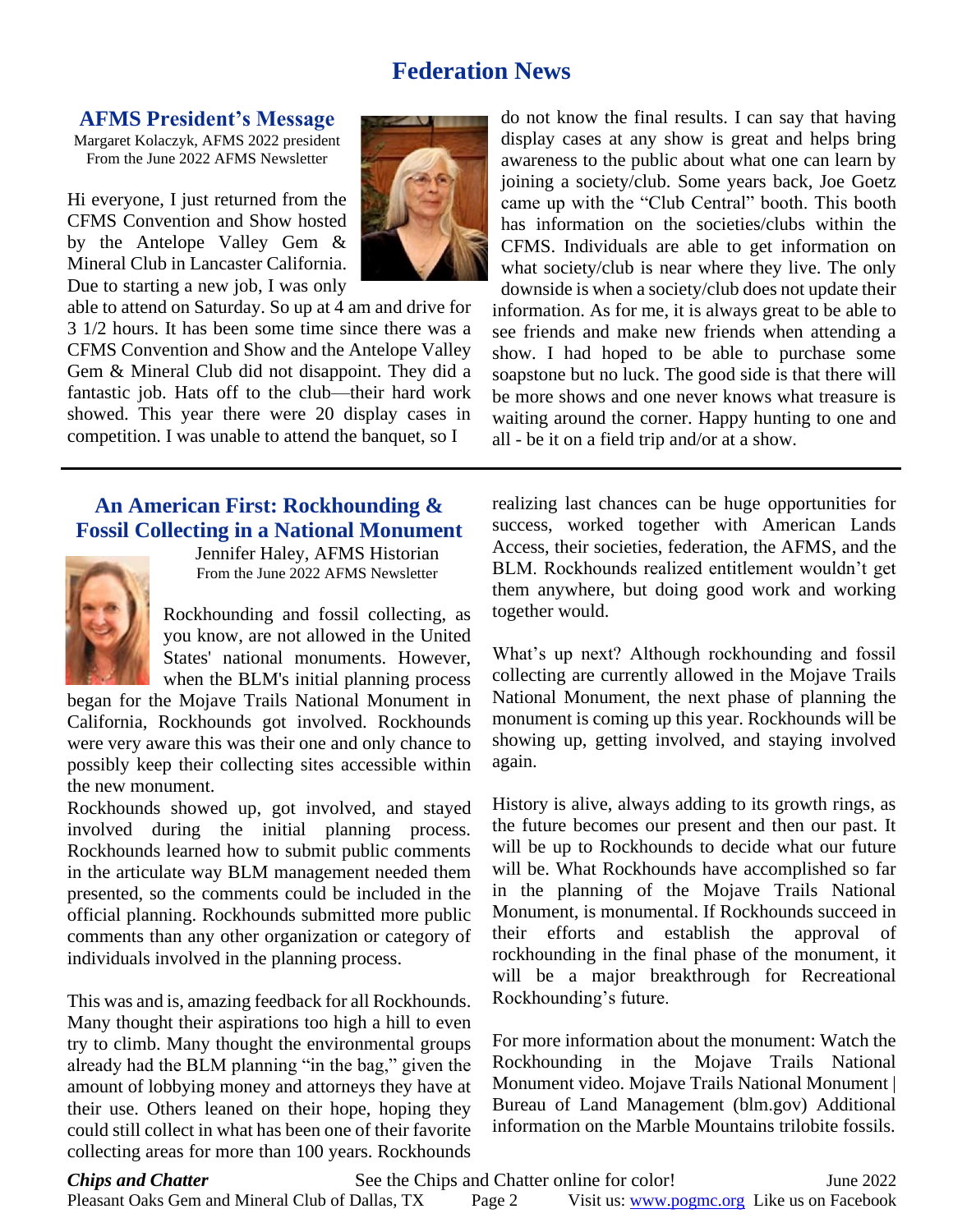## **Federation News**

#### **AFMS President's Message**

Margaret Kolaczyk, AFMS 2022 president From the June 2022 AFMS Newsletter

Hi everyone, I just returned from the CFMS Convention and Show hosted by the Antelope Valley Gem & Mineral Club in Lancaster California. Due to starting a new job, I was only



able to attend on Saturday. So up at 4 am and drive for 3 1/2 hours. It has been some time since there was a CFMS Convention and Show and the Antelope Valley Gem & Mineral Club did not disappoint. They did a fantastic job. Hats off to the club—their hard work showed. This year there were 20 display cases in competition. I was unable to attend the banquet, so I

### **An American First: Rockhounding & Fossil Collecting in a National Monument**



Jennifer Haley, AFMS Historian From the June 2022 AFMS Newsletter

Rockhounding and fossil collecting, as you know, are not allowed in the United States' national monuments. However, when the BLM's initial planning process

began for the Mojave Trails National Monument in California, Rockhounds got involved. Rockhounds were very aware this was their one and only chance to possibly keep their collecting sites accessible within the new monument.

Rockhounds showed up, got involved, and stayed involved during the initial planning process. Rockhounds learned how to submit public comments in the articulate way BLM management needed them presented, so the comments could be included in the official planning. Rockhounds submitted more public comments than any other organization or category of individuals involved in the planning process.

This was and is, amazing feedback for all Rockhounds. Many thought their aspirations too high a hill to even try to climb. Many thought the environmental groups already had the BLM planning "in the bag," given the amount of lobbying money and attorneys they have at their use. Others leaned on their hope, hoping they could still collect in what has been one of their favorite collecting areas for more than 100 years. Rockhounds

do not know the final results. I can say that having display cases at any show is great and helps bring awareness to the public about what one can learn by joining a society/club. Some years back, Joe Goetz came up with the "Club Central" booth. This booth has information on the societies/clubs within the CFMS. Individuals are able to get information on what society/club is near where they live. The only downside is when a society/club does not update their information. As for me, it is always great to be able to see friends and make new friends when attending a show. I had hoped to be able to purchase some soapstone but no luck. The good side is that there will be more shows and one never knows what treasure is waiting around the corner. Happy hunting to one and all - be it on a field trip and/or at a show.

realizing last chances can be huge opportunities for success, worked together with American Lands Access, their societies, federation, the AFMS, and the BLM. Rockhounds realized entitlement wouldn't get them anywhere, but doing good work and working together would.

What's up next? Although rockhounding and fossil collecting are currently allowed in the Mojave Trails National Monument, the next phase of planning the monument is coming up this year. Rockhounds will be showing up, getting involved, and staying involved again.

History is alive, always adding to its growth rings, as the future becomes our present and then our past. It will be up to Rockhounds to decide what our future will be. What Rockhounds have accomplished so far in the planning of the Mojave Trails National Monument, is monumental. If Rockhounds succeed in their efforts and establish the approval of rockhounding in the final phase of the monument, it will be a major breakthrough for Recreational Rockhounding's future.

For more information about the monument: Watch the Rockhounding in the Mojave Trails National Monument video. Mojave Trails National Monument | Bureau of Land Management (blm.gov) Additional information on the Marble Mountains trilobite fossils.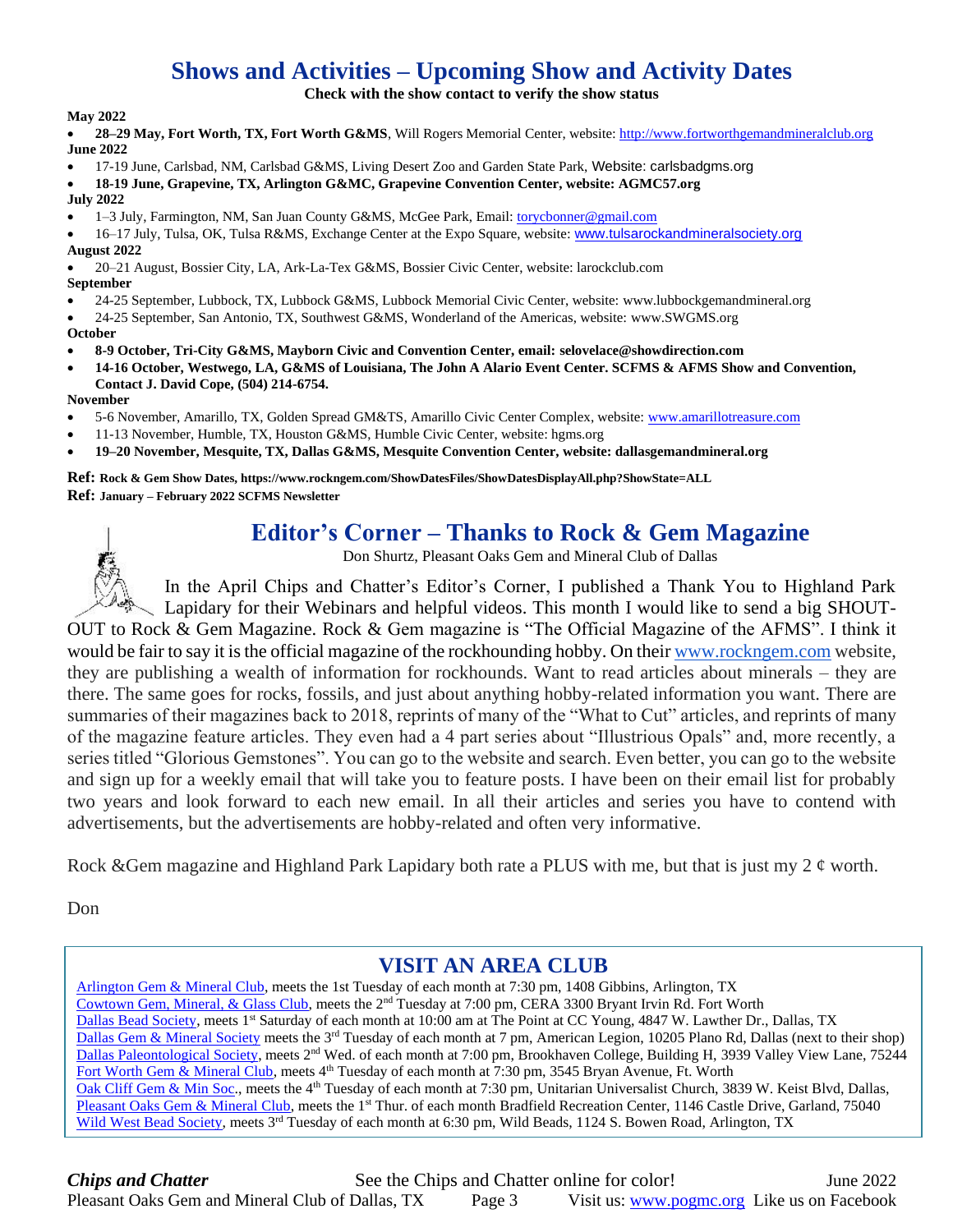# **Shows and Activities – Upcoming Show and Activity Dates**

**Check with the show contact to verify the show status**

**May 2022**

• **28–29 May, Fort Worth, TX, Fort Worth G&MS**, Will Rogers Memorial Center, website: [http://www.fortworthgemandmineralclub.org](http://www.fortworthgemandmineralclub.org/) **June 2022**

- 17-19 June, Carlsbad, NM, Carlsbad G&MS, Living Desert Zoo and Garden State Park, Website: carlsbadgms.org
- **18-19 June, Grapevine, TX, Arlington G&MC, Grapevine Convention Center, website: AGMC57.org**
- **July 2022**
- 1–3 July, Farmington, NM, San Juan County G&MS, McGee Park, Email: [torycbonner@gmail.com](mailto:torycbonner@gmail.com)
- 16–17 July, Tulsa, OK, Tulsa R&MS, Exchange Center at the Expo Square, website: [www.tulsarockandmineralsociety.org](http://www.tulsarockandmineralsociety.org/) **August 2022**
- 20–21 August, Bossier City, LA, Ark-La-Tex G&MS, Bossier Civic Center, website: larockclub.com **September**
- 24-25 September, Lubbock, TX, Lubbock G&MS, Lubbock Memorial Civic Center, website: [www.lubbockgemandmineral.org](http://www.lubbockgemandmineral.org/)
- 24-25 September, San Antonio, TX, Southwest G&MS, Wonderland of the Americas, website: [www.SWGMS.org](http://www.swgms.org/)
- **October**
- **8-9 October, Tri-City G&MS, Mayborn Civic and Convention Center, email[: selovelace@showdirection.com](mailto:selovelace@showdirection.com)**
- **14-16 October, Westwego, LA, G&MS of Louisiana, The John A Alario Event Center. SCFMS & AFMS Show and Convention, Contact J. David Cope, (504) 214-6754.**

#### **November**

- 5-6 November, Amarillo, TX, Golden Spread GM&TS, Amarillo Civic Center Complex, website[: www.amarillotreasure.com](http://www.amarillotreasure.com/)
- 11-13 November, Humble, TX, Houston G&MS, Humble Civic Center, website: hgms.org
- **19–20 November, Mesquite, TX, Dallas G&MS, Mesquite Convention Center, website: dallasgemandmineral.org**

**Ref: Rock & Gem Show Dates[, https://www.rockngem.com/ShowDatesFiles/ShowDatesDisplayAll.php?ShowState=ALL](https://www.rockngem.com/ShowDatesFiles/ShowDatesDisplayAll.php?ShowState=ALL) Ref: January – February 2022 SCFMS Newsletter**

## **Editor's Corner – Thanks to Rock & Gem Magazine**

Don Shurtz, Pleasant Oaks Gem and Mineral Club of Dallas

In the April Chips and Chatter's Editor's Corner, I published a Thank You to Highland Park Lapidary for their Webinars and helpful videos. This month I would like to send a big SHOUT-OUT to Rock & Gem Magazine. Rock & Gem magazine is "The Official Magazine of the AFMS". I think it would be fair to say it is the official magazine of the rockhounding hobby. On thei[r www.rockngem.com](https://ind01.safelinks.protection.outlook.com/?url=http%3A%2F%2Fwww.rockngem.com%2F&data=02%7C01%7Ctalvarez%40beckett.com%7Ce58a26ed83c543b2d7ef08d83fb053a4%7Cc097b26636fd48829d2d0ebb9dce1747%7C1%7C0%7C637329373828038426&sdata=BlEI5bdQIbr6aZW%2B5BEYOAcp8%2FzNp8EQMO%2FzusyqsOI%3D&reserved=0) website, they are publishing a wealth of information for rockhounds. Want to read articles about minerals – they are there. The same goes for rocks, fossils, and just about anything hobby-related information you want. There are summaries of their magazines back to 2018, reprints of many of the "What to Cut" articles, and reprints of many of the magazine feature articles. They even had a 4 part series about "Illustrious Opals" and, more recently, a series titled "Glorious Gemstones". You can go to the website and search. Even better, you can go to the website and sign up for a weekly email that will take you to feature posts. I have been on their email list for probably two years and look forward to each new email. In all their articles and series you have to contend with advertisements, but the advertisements are hobby-related and often very informative.

Rock &Gem magazine and Highland Park Lapidary both rate a PLUS with me, but that is just my 2  $\epsilon$  worth.

Don

### **VISIT AN AREA CLUB**

[Arlington Gem & Mineral Club,](https://www.agmc57.org/) meets the 1st Tuesday of each month at 7:30 pm, 1408 Gibbins, Arlington, TX [Cowtown Gem, Mineral, & Glass Club,](http://cera-fw.org/gem-mineral-glass/) meets the 2nd Tuesday at 7:00 pm, CERA 3300 Bryant Irvin Rd. Fort Worth [Dallas Bead Society,](https://www.google.com/url?sa=t&rct=j&q=&esrc=s&source=web&cd=2&cad=rja&uact=8&ved=0ahUKEwjIz5vbn4XKAhUDSyYKHUamBxQQFggkMAE&url=http%3A%2F%2Fdallasbeadsociety.org%2F&usg=AFQjCNGkGBFQJHy4DEpDYLqFSkfSsxooZw&sig2=FgwnpS31Cspz5uTtUszQtQ) meets 1<sup>st</sup> Saturday of each month at 10:00 am at The Point at CC Young, 4847 W. Lawther Dr., Dallas, TX [Dallas Gem & Mineral Society](http://www.dallasgemandmineral.org/) meets the 3<sup>rd</sup> Tuesday of each month at 7 pm, American Legion, 10205 Plano Rd, Dallas (next to their shop) [Dallas Paleontological Society,](http://www.dallaspaleo.org/) meets 2<sup>nd</sup> Wed. of each month at 7:00 pm, Brookhaven College, Building H, 3939 Valley View Lane, 75244 [Fort Worth Gem & Mineral Club,](http://www.fortworthgemandmineralclub.com/CLUB.html) meets 4<sup>th</sup> Tuesday of each month at 7:30 pm, 3545 Bryan Avenue, Ft. Worth [Oak Cliff Gem & Min Soc.](http://www.ocgemandmineral.com/), meets the 4<sup>th</sup> Tuesday of each month at 7:30 pm, Unitarian Universalist Church, 3839 W. Keist Blvd, Dallas, [Pleasant Oaks Gem & Mineral Club,](http://www.pogmc.org/) meets the 1<sup>st</sup> Thur. of each month Bradfield Recreation Center, 1146 Castle Drive, Garland, 75040 [Wild West Bead Society,](http://www.wildwestbeadsociety.com/Main_Page.html) meets 3<sup>rd</sup> Tuesday of each month at 6:30 pm, Wild Beads, 1124 S. Bowen Road, Arlington, TX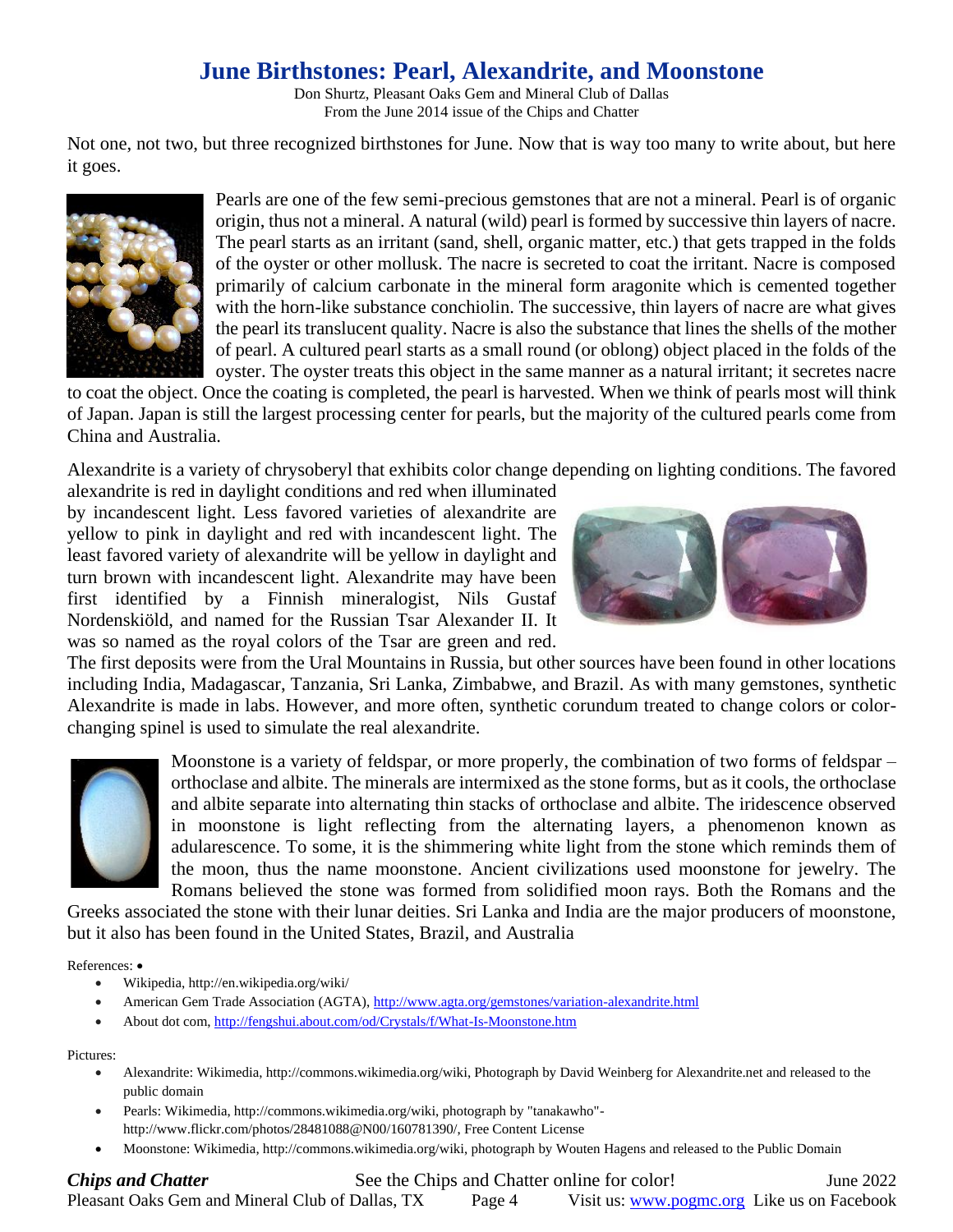# **June Birthstones: Pearl, Alexandrite, and Moonstone**

Don Shurtz, Pleasant Oaks Gem and Mineral Club of Dallas From the June 2014 issue of the Chips and Chatter

Not one, not two, but three recognized birthstones for June. Now that is way too many to write about, but here it goes.



Pearls are one of the few semi-precious gemstones that are not a mineral. Pearl is of organic origin, thus not a mineral. A natural (wild) pearl is formed by successive thin layers of nacre. The pearl starts as an irritant (sand, shell, organic matter, etc.) that gets trapped in the folds of the oyster or other mollusk. The nacre is secreted to coat the irritant. Nacre is composed primarily of calcium carbonate in the mineral form aragonite which is cemented together with the horn-like substance conchiolin. The successive, thin layers of nacre are what gives the pearl its translucent quality. Nacre is also the substance that lines the shells of the mother of pearl. A cultured pearl starts as a small round (or oblong) object placed in the folds of the oyster. The oyster treats this object in the same manner as a natural irritant; it secretes nacre

to coat the object. Once the coating is completed, the pearl is harvested. When we think of pearls most will think of Japan. Japan is still the largest processing center for pearls, but the majority of the cultured pearls come from China and Australia.

Alexandrite is a variety of chrysoberyl that exhibits color change depending on lighting conditions. The favored

alexandrite is red in daylight conditions and red when illuminated by incandescent light. Less favored varieties of alexandrite are yellow to pink in daylight and red with incandescent light. The least favored variety of alexandrite will be yellow in daylight and turn brown with incandescent light. Alexandrite may have been first identified by a Finnish mineralogist, Nils Gustaf Nordenskiöld, and named for the Russian Tsar Alexander II. It was so named as the royal colors of the Tsar are green and red.



The first deposits were from the Ural Mountains in Russia, but other sources have been found in other locations including India, Madagascar, Tanzania, Sri Lanka, Zimbabwe, and Brazil. As with many gemstones, synthetic Alexandrite is made in labs. However, and more often, synthetic corundum treated to change colors or colorchanging spinel is used to simulate the real alexandrite.



Moonstone is a variety of feldspar, or more properly, the combination of two forms of feldspar – orthoclase and albite. The minerals are intermixed as the stone forms, but as it cools, the orthoclase and albite separate into alternating thin stacks of orthoclase and albite. The iridescence observed in moonstone is light reflecting from the alternating layers, a phenomenon known as adularescence. To some, it is the shimmering white light from the stone which reminds them of the moon, thus the name moonstone. Ancient civilizations used moonstone for jewelry. The Romans believed the stone was formed from solidified moon rays. Both the Romans and the

Greeks associated the stone with their lunar deities. Sri Lanka and India are the major producers of moonstone, but it also has been found in the United States, Brazil, and Australia

References: •

- Wikipedia, http://en.wikipedia.org/wiki/
- American Gem Trade Association (AGTA),<http://www.agta.org/gemstones/variation-alexandrite.html>
- About dot com[, http://fengshui.about.com/od/Crystals/f/What-Is-Moonstone.htm](http://fengshui.about.com/od/Crystals/f/What-Is-Moonstone.htm)

Pictures:

- Alexandrite: Wikimedia, http://commons.wikimedia.org/wiki, Photograph by David Weinberg for Alexandrite.net and released to the public domain
- Pearls: Wikimedia, http://commons.wikimedia.org/wiki, photograph by "tanakawho" http://www.flickr.com/photos/28481088@N00/160781390/, Free Content License
- Moonstone: Wikimedia, http://commons.wikimedia.org/wiki, photograph by Wouten Hagens and released to the Public Domain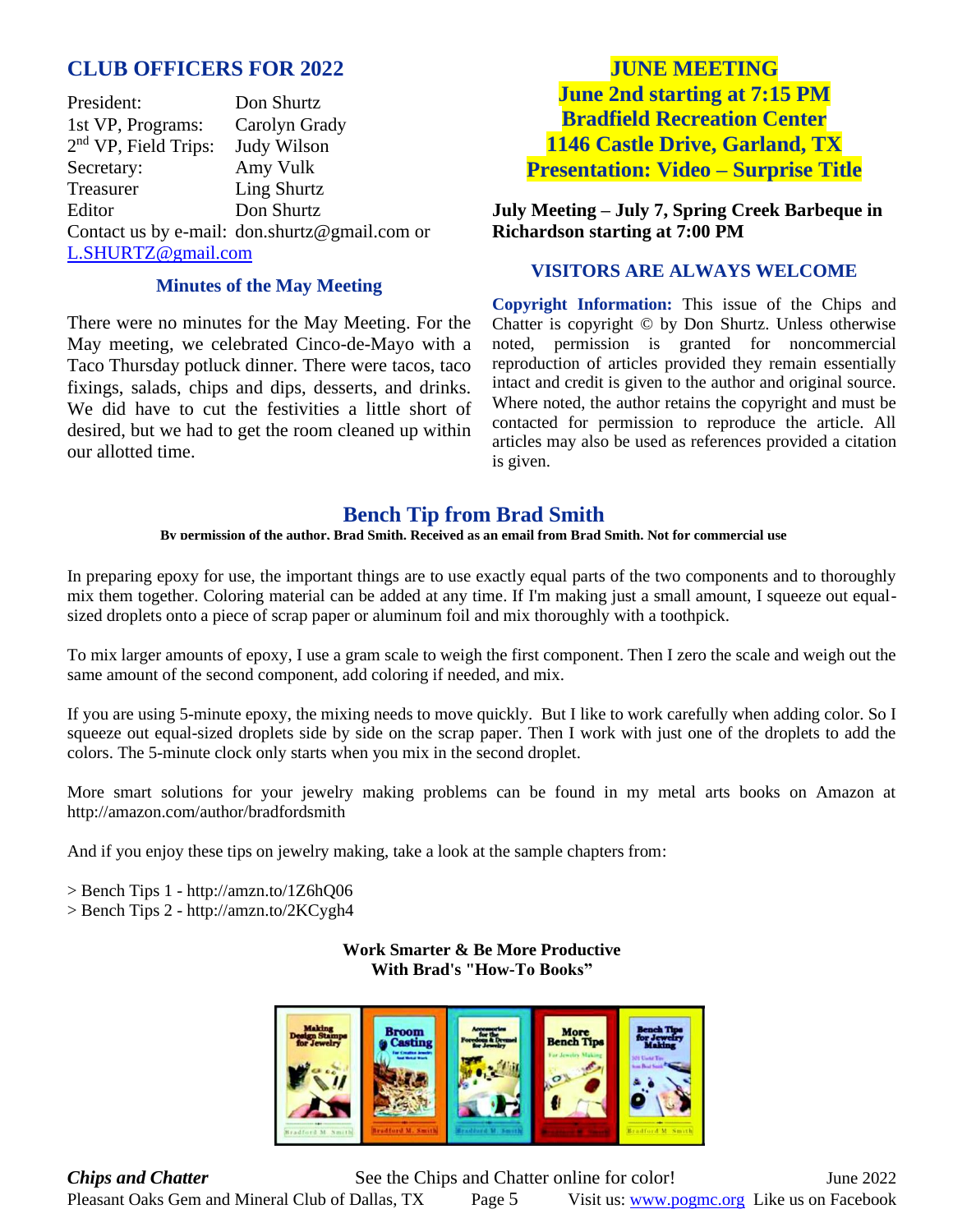### **CLUB OFFICERS FOR 2022**

President: Don Shurtz 1st VP, Programs: Carolyn Grady 2<sup>nd</sup> VP, Field Trips: Judy Wilson Secretary: Amy Vulk Treasurer Ling Shurtz Editor Don Shurtz Contact us by e-mail: [don.shurtz@gmail.com](mailto:don.shurtz@gmail.com) or [L.SHURTZ@gmail.com](mailto:L.SHURTZ@gmail.com) 

#### **Minutes of the May Meeting**

There were no minutes for the May Meeting. For the May meeting, we celebrated Cinco-de-Mayo with a Taco Thursday potluck dinner. There were tacos, taco fixings, salads, chips and dips, desserts, and drinks. We did have to cut the festivities a little short of desired, but we had to get the room cleaned up within our allotted time.

## **JUNE MEETING June 2nd starting at 7:15 PM Bradfield Recreation Center 1146 Castle Drive, Garland, TX Presentation: Video – Surprise Title**

**July Meeting – July 7, Spring Creek Barbeque in Richardson starting at 7:00 PM**

#### **VISITORS ARE ALWAYS WELCOME**

**Copyright Information:** This issue of the Chips and Chatter is copyright © by Don Shurtz. Unless otherwise noted, permission is granted for noncommercial reproduction of articles provided they remain essentially intact and credit is given to the author and original source. Where noted, the author retains the copyright and must be contacted for permission to reproduce the article. All articles may also be used as references provided a citation is given.

### **Bench Tip from Brad Smith**

**By permission of the author, Brad Smith. Received as an email from Brad Smith. Not for commercial use**

In preparing epoxy for use, the important things are to use exactly equal parts of the two components and to thoroughly mix them together. Coloring material can be added at any time. If I'm making just a small amount, I squeeze out equalsized droplets onto a piece of scrap paper or aluminum foil and mix thoroughly with a toothpick.

To mix larger amounts of epoxy, I use a gram scale to weigh the first component. Then I zero the scale and weigh out the same amount of the second component, add coloring if needed, and mix.

If you are using 5-minute epoxy, the mixing needs to move quickly. But I like to work carefully when adding color. So I squeeze out equal-sized droplets side by side on the scrap paper. Then I work with just one of the droplets to add the colors. The 5-minute clock only starts when you mix in the second droplet.

More smart solutions for your jewelry making problems can be found in my metal arts books on Amazon at http://amazon.com/author/bradfordsmith

And if you enjoy these tips on jewelry making, take a look at the sample chapters from:

> Bench Tips 1 - http://amzn.to/1Z6hQ06

> Bench Tips 2 - http://amzn.to/2KCygh4

**Work Smarter & Be More Productive With Brad's "How-To Books"**